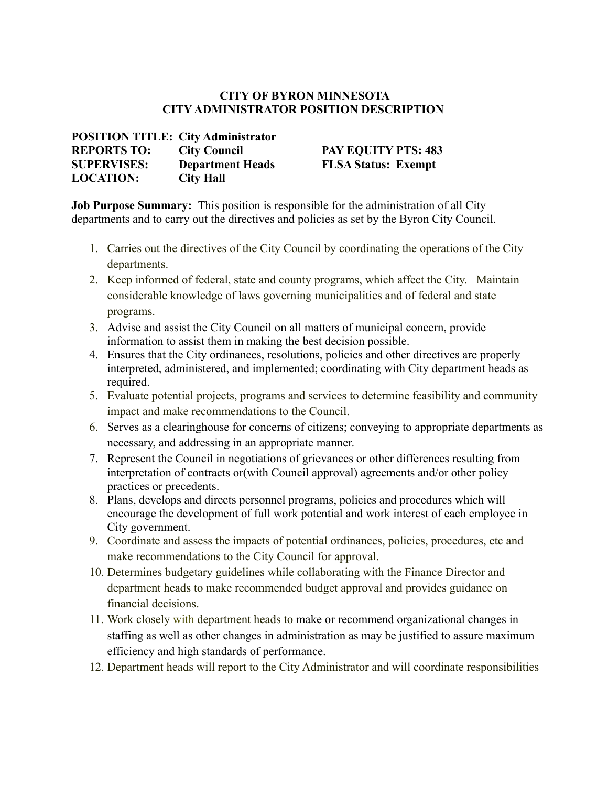# **CITY OF BYRON MINNESOTA CITY ADMINISTRATOR POSITION DESCRIPTION**

#### **POSITION TITLE: City Administrator REPORTS TO: City Council PAY EQUITY PTS: 483 SUPERVISES: Department Heads FLSA Status: Exempt LOCATION: City Hall**

**Job Purpose Summary:** This position is responsible for the administration of all City departments and to carry out the directives and policies as set by the Byron City Council.

- 1. Carries out the directives of the City Council by coordinating the operations of the City departments.
- 2. Keep informed of federal, state and county programs, which affect the City. Maintain considerable knowledge of laws governing municipalities and of federal and state programs.
- 3. Advise and assist the City Council on all matters of municipal concern, provide information to assist them in making the best decision possible.
- 4. Ensures that the City ordinances, resolutions, policies and other directives are properly interpreted, administered, and implemented; coordinating with City department heads as required.
- 5. Evaluate potential projects, programs and services to determine feasibility and community impact and make recommendations to the Council.
- 6. Serves as a clearinghouse for concerns of citizens; conveying to appropriate departments as necessary, and addressing in an appropriate manner.
- 7. Represent the Council in negotiations of grievances or other differences resulting from interpretation of contracts or(with Council approval) agreements and/or other policy practices or precedents.
- 8. Plans, develops and directs personnel programs, policies and procedures which will encourage the development of full work potential and work interest of each employee in City government.
- 9. Coordinate and assess the impacts of potential ordinances, policies, procedures, etc and make recommendations to the City Council for approval.
- 10. Determines budgetary guidelines while collaborating with the Finance Director and department heads to make recommended budget approval and provides guidance on financial decisions.
- 11. Work closely with department heads to make or recommend organizational changes in staffing as well as other changes in administration as may be justified to assure maximum efficiency and high standards of performance.
- 12. Department heads will report to the City Administrator and will coordinate responsibilities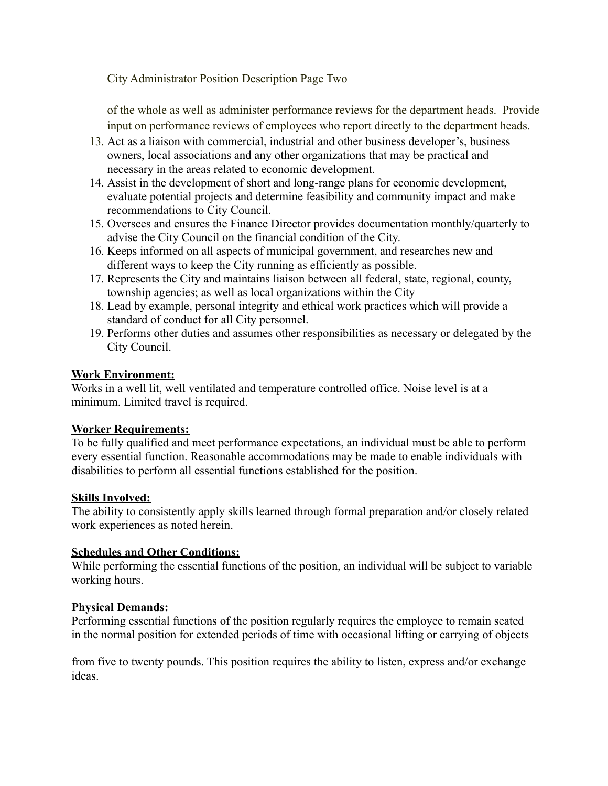City Administrator Position Description Page Two

of the whole as well as administer performance reviews for the department heads. Provide input on performance reviews of employees who report directly to the department heads.

- 13. Act as a liaison with commercial, industrial and other business developer's, business owners, local associations and any other organizations that may be practical and necessary in the areas related to economic development.
- 14. Assist in the development of short and long-range plans for economic development, evaluate potential projects and determine feasibility and community impact and make recommendations to City Council.
- 15. Oversees and ensures the Finance Director provides documentation monthly/quarterly to advise the City Council on the financial condition of the City.
- 16. Keeps informed on all aspects of municipal government, and researches new and different ways to keep the City running as efficiently as possible.
- 17. Represents the City and maintains liaison between all federal, state, regional, county, township agencies; as well as local organizations within the City
- 18. Lead by example, personal integrity and ethical work practices which will provide a standard of conduct for all City personnel.
- 19. Performs other duties and assumes other responsibilities as necessary or delegated by the City Council.

# **Work Environment:**

Works in a well lit, well ventilated and temperature controlled office. Noise level is at a minimum. Limited travel is required.

# **Worker Requirements:**

To be fully qualified and meet performance expectations, an individual must be able to perform every essential function. Reasonable accommodations may be made to enable individuals with disabilities to perform all essential functions established for the position.

# **Skills Involved:**

The ability to consistently apply skills learned through formal preparation and/or closely related work experiences as noted herein.

# **Schedules and Other Conditions:**

While performing the essential functions of the position, an individual will be subject to variable working hours.

# **Physical Demands:**

Performing essential functions of the position regularly requires the employee to remain seated in the normal position for extended periods of time with occasional lifting or carrying of objects

from five to twenty pounds. This position requires the ability to listen, express and/or exchange ideas.